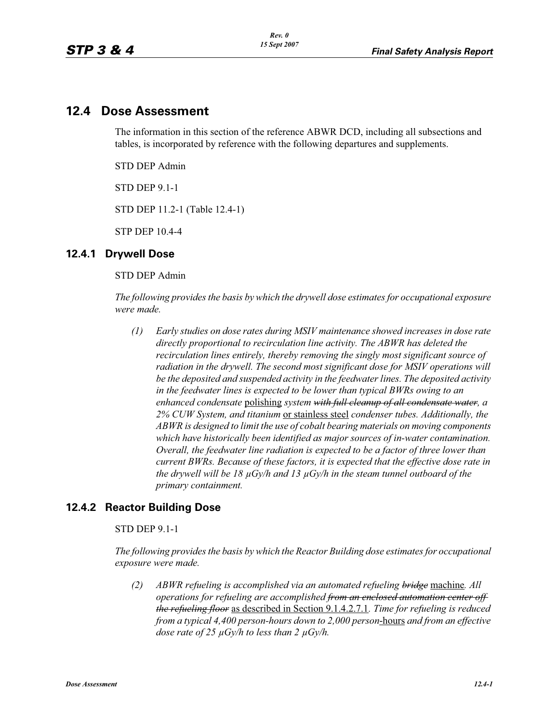# **12.4 Dose Assessment**

The information in this section of the reference ABWR DCD, including all subsections and tables, is incorporated by reference with the following departures and supplements.

STD DEP Admin

STD DEP 9.1-1

STD DEP 11.2-1 (Table 12.4-1)

STP DEP 10.4-4

## **12.4.1 Drywell Dose**

STD DEP Admin

*The following provides the basis by which the drywell dose estimates for occupational exposure were made.*

*(1) Early studies on dose rates during MSIV maintenance showed increases in dose rate directly proportional to recirculation line activity. The ABWR has deleted the recirculation lines entirely, thereby removing the singly most significant source of*  radiation in the drywell. The second most significant dose for MSIV operations will *be the deposited and suspended activity in the feedwater lines. The deposited activity in the feedwater lines is expected to be lower than typical BWRs owing to an enhanced condensate* polishing *system with full cleanup of all condensate water, a 2% CUW System, and titanium* or stainless steel *condenser tubes. Additionally, the ABWR is designed to limit the use of cobalt bearing materials on moving components which have historically been identified as major sources of in-water contamination. Overall, the feedwater line radiation is expected to be a factor of three lower than current BWRs. Because of these factors, it is expected that the effective dose rate in the drywell will be 18 μGy/h and 13 μGy/h in the steam tunnel outboard of the primary containment.* 

## **12.4.2 Reactor Building Dose**

### STD DEP 9.1-1

*The following provides the basis by which the Reactor Building dose estimates for occupational exposure were made.*

*(2) ABWR refueling is accomplished via an automated refueling bridge* machine*. All operations for refueling are accomplished from an enclosed automation center off the refueling floor* as described in Section 9.1.4.2.7.1*. Time for refueling is reduced from a typical 4,400 person-hours down to 2,000 person*-hours *and from an effective dose rate of 25 μGy/h to less than 2 μGy/h.*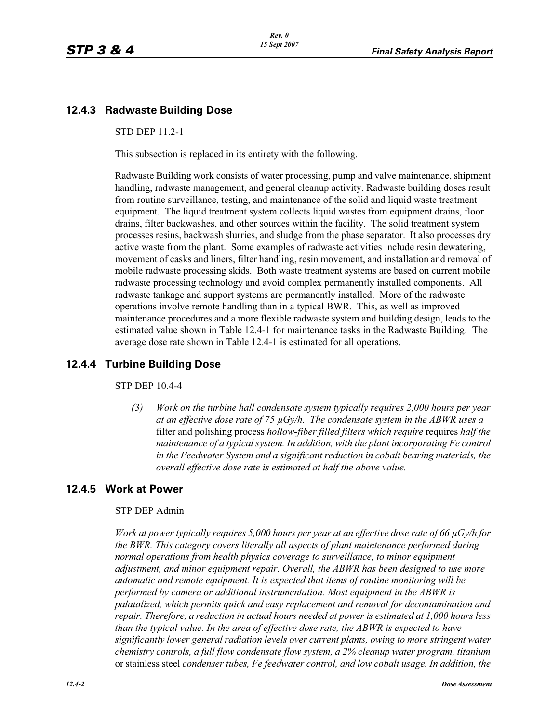## **12.4.3 Radwaste Building Dose**

#### STD DEP 11.2-1

This subsection is replaced in its entirety with the following.

Radwaste Building work consists of water processing, pump and valve maintenance, shipment handling, radwaste management, and general cleanup activity. Radwaste building doses result from routine surveillance, testing, and maintenance of the solid and liquid waste treatment equipment. The liquid treatment system collects liquid wastes from equipment drains, floor drains, filter backwashes, and other sources within the facility. The solid treatment system processes resins, backwash slurries, and sludge from the phase separator. It also processes dry active waste from the plant. Some examples of radwaste activities include resin dewatering, movement of casks and liners, filter handling, resin movement, and installation and removal of mobile radwaste processing skids. Both waste treatment systems are based on current mobile radwaste processing technology and avoid complex permanently installed components. All radwaste tankage and support systems are permanently installed. More of the radwaste operations involve remote handling than in a typical BWR. This, as well as improved maintenance procedures and a more flexible radwaste system and building design, leads to the estimated value shown in Table 12.4-1 for maintenance tasks in the Radwaste Building. The average dose rate shown in Table 12.4-1 is estimated for all operations.

## **12.4.4 Turbine Building Dose**

#### STP DEP 10.4-4

*(3) Work on the turbine hall condensate system typically requires 2,000 hours per year at an effective dose rate of 75 μGy/h. The condensate system in the ABWR uses a*  filter and polishing process *hollow-fiber filled filters which require* requires *half the maintenance of a typical system. In addition, with the plant incorporating Fe control in the Feedwater System and a significant reduction in cobalt bearing materials, the overall effective dose rate is estimated at half the above value.*

## **12.4.5 Work at Power**

#### STP DEP Admin

*Work at power typically requires 5,000 hours per year at an effective dose rate of 66 μGy/h for the BWR. This category covers literally all aspects of plant maintenance performed during normal operations from health physics coverage to surveillance, to minor equipment adjustment, and minor equipment repair. Overall, the ABWR has been designed to use more automatic and remote equipment. It is expected that items of routine monitoring will be performed by camera or additional instrumentation. Most equipment in the ABWR is palatalized, which permits quick and easy replacement and removal for decontamination and repair. Therefore, a reduction in actual hours needed at power is estimated at 1,000 hours less than the typical value. In the area of effective dose rate, the ABWR is expected to have significantly lower general radiation levels over current plants, owing to more stringent water chemistry controls, a full flow condensate flow system, a 2% cleanup water program, titanium*  or stainless steel *condenser tubes, Fe feedwater control, and low cobalt usage. In addition, the*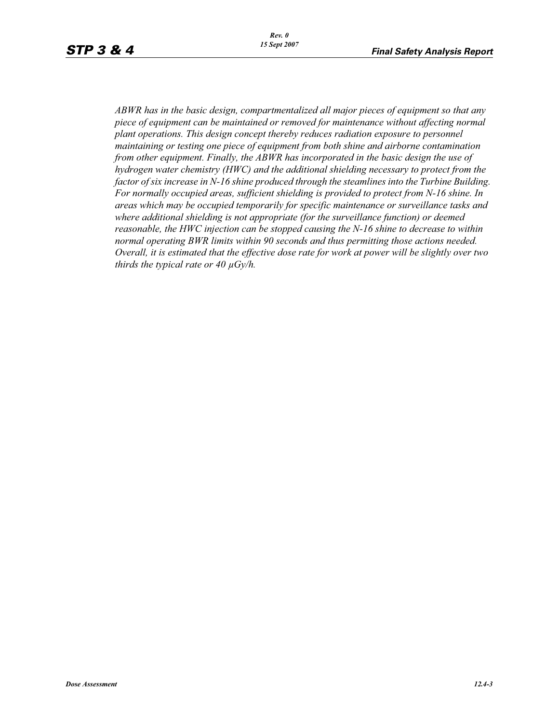*ABWR has in the basic design, compartmentalized all major pieces of equipment so that any piece of equipment can be maintained or removed for maintenance without affecting normal plant operations. This design concept thereby reduces radiation exposure to personnel maintaining or testing one piece of equipment from both shine and airborne contamination from other equipment. Finally, the ABWR has incorporated in the basic design the use of hydrogen water chemistry (HWC) and the additional shielding necessary to protect from the factor of six increase in N-16 shine produced through the steamlines into the Turbine Building. For normally occupied areas, sufficient shielding is provided to protect from N-16 shine. In areas which may be occupied temporarily for specific maintenance or surveillance tasks and where additional shielding is not appropriate (for the surveillance function) or deemed reasonable, the HWC injection can be stopped causing the N-16 shine to decrease to within normal operating BWR limits within 90 seconds and thus permitting those actions needed. Overall, it is estimated that the effective dose rate for work at power will be slightly over two thirds the typical rate or 40 μGy/h.*